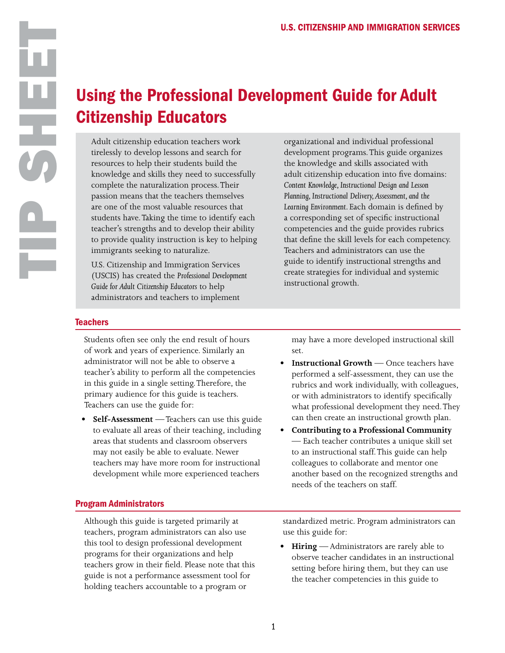## Using the Professional Development Guide for Adult Citizenship Educators

Adult citizenship education teachers work tirelessly to develop lessons and search for resources to help their students build the knowledge and skills they need to successfully complete the naturalization process. Their passion means that the teachers themselves are one of the most valuable resources that students have. Taking the time to identify each teacher's strengths and to develop their ability to provide quality instruction is key to helping immigrants seeking to naturalize.

U.S. Citizenship and Immigration Services (USCIS) has created the *Professional Development Guide for Adult Citizenship Educators* to help administrators and teachers to implement

organizational and individual professional development programs. This guide organizes the knowledge and skills associated with adult citizenship education into five domains: *Content Knowledge, Instructional Design and Lesson Planning, Instructional Delivery, Assessment, and the Learning Environment.* Each domain is defined by a corresponding set of specific instructional competencies and the guide provides rubrics that define the skill levels for each competency. Teachers and administrators can use the guide to identify instructional strengths and create strategies for individual and systemic instructional growth.

## **Teachers**

Students often see only the end result of hours of work and years of experience. Similarly an administrator will not be able to observe a teacher's ability to perform all the competencies in this guide in a single setting. Therefore, the primary audience for this guide is teachers. Teachers can use the guide for:

• **Self-Assessment** — Teachers can use this guide to evaluate all areas of their teaching, including areas that students and classroom observers may not easily be able to evaluate. Newer teachers may have more room for instructional development while more experienced teachers

may have a more developed instructional skill set.

- •<br>•<br>• **Instructional Growth** — Once teachers have  $\bullet$ performed a self-assessment, they can use the rubrics and work individually, with colleagues, or with administrators to identify specifically what professional development they need. They can then create an instructional growth plan.
- **Contributing to a Professional Community**  $\bullet$ — Each teacher contributes a unique skill set to an instructional staff. This guide can help colleagues to collaborate and mentor one another based on the recognized strengths and needs of the teachers on staff.

## Program Administrators

Although this guide is targeted primarily at teachers, program administrators can also use this tool to design professional development programs for their organizations and help teachers grow in their field. Please note that this guide is not a performance assessment tool for holding teachers accountable to a program or

standardized metric. Program administrators can use this guide for:

**Hiring** — Administrators are rarely able to observe teacher candidates in an instructional setting before hiring them, but they can use the teacher competencies in this guide to